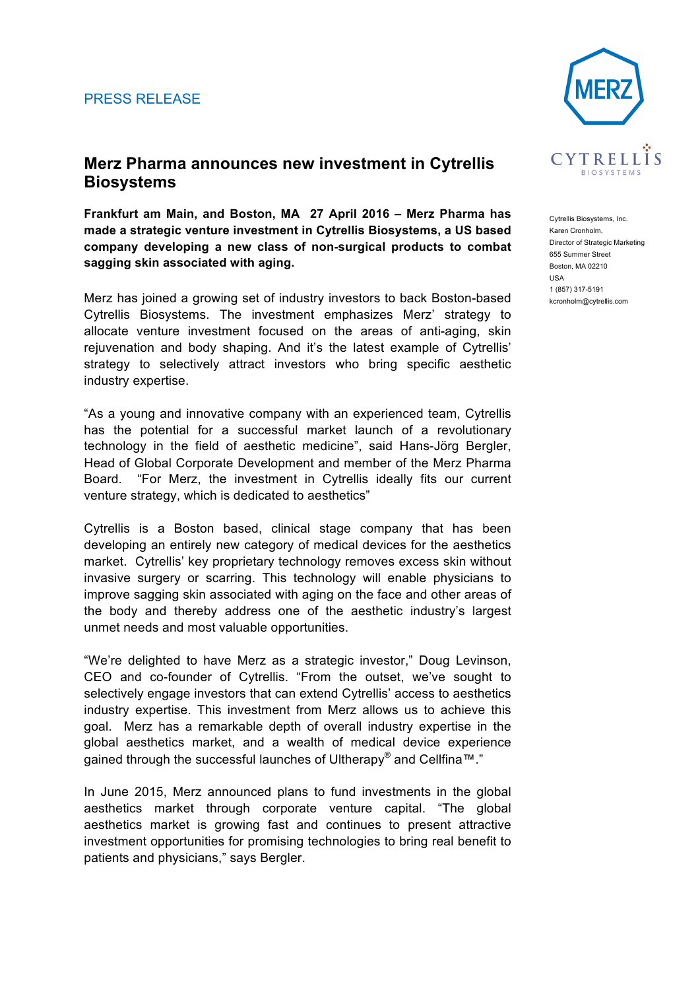## PRESS RELEASE



Cytrellis Biosystems, Inc. Karen Cronholm, Director of Strategic Marketing 655 Summer Street Boston, MA 02210 USA 1 (857) 317-5191 kcronholm@cytrellis.com

# **Merz Pharma announces new investment in Cytrellis Biosystems**

**Frankfurt am Main, and Boston, MA 27 April 2016 – Merz Pharma has made a strategic venture investment in Cytrellis Biosystems, a US based company developing a new class of non-surgical products to combat sagging skin associated with aging.** 

Merz has joined a growing set of industry investors to back Boston-based Cytrellis Biosystems. The investment emphasizes Merz' strategy to allocate venture investment focused on the areas of anti-aging, skin rejuvenation and body shaping. And it's the latest example of Cytrellis' strategy to selectively attract investors who bring specific aesthetic industry expertise.

"As a young and innovative company with an experienced team, Cytrellis has the potential for a successful market launch of a revolutionary technology in the field of aesthetic medicine", said Hans-Jörg Bergler, Head of Global Corporate Development and member of the Merz Pharma Board. "For Merz, the investment in Cytrellis ideally fits our current venture strategy, which is dedicated to aesthetics"

Cytrellis is a Boston based, clinical stage company that has been developing an entirely new category of medical devices for the aesthetics market. Cytrellis' key proprietary technology removes excess skin without invasive surgery or scarring. This technology will enable physicians to improve sagging skin associated with aging on the face and other areas of the body and thereby address one of the aesthetic industry's largest unmet needs and most valuable opportunities.

"We're delighted to have Merz as a strategic investor," Doug Levinson, CEO and co-founder of Cytrellis. "From the outset, we've sought to selectively engage investors that can extend Cytrellis' access to aesthetics industry expertise. This investment from Merz allows us to achieve this goal. Merz has a remarkable depth of overall industry expertise in the global aesthetics market, and a wealth of medical device experience gained through the successful launches of Ultherapy® and Cellfina™."

In June 2015, Merz announced plans to fund investments in the global aesthetics market through corporate venture capital. "The global aesthetics market is growing fast and continues to present attractive investment opportunities for promising technologies to bring real benefit to patients and physicians," says Bergler.